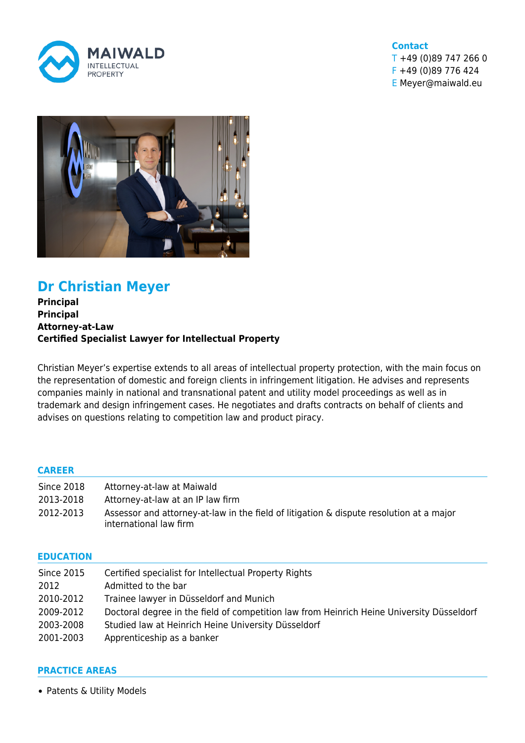

#### **Contact**

T +49 (0)89 747 266 0 F +49 (0)89 776 424 E Meyer@maiwald.eu



# **Dr Christian Meyer**

**Principal Principal Attorney-at-Law Certified Specialist Lawyer for Intellectual Property**

Christian Meyer's expertise extends to all areas of intellectual property protection, with the main focus on the representation of domestic and foreign clients in infringement litigation. He advises and represents companies mainly in national and transnational patent and utility model proceedings as well as in trademark and design infringement cases. He negotiates and drafts contracts on behalf of clients and advises on questions relating to competition law and product piracy.

### **CAREER**

| Since 2018 | Attorney-at-law at Maiwald                                                                                        |
|------------|-------------------------------------------------------------------------------------------------------------------|
| 2013-2018  | Attorney-at-law at an IP law firm                                                                                 |
| 2012-2013  | Assessor and attorney-at-law in the field of litigation & dispute resolution at a major<br>international law firm |

#### **EDUCATION**

| <b>Since 2015</b> | Certified specialist for Intellectual Property Rights                                     |
|-------------------|-------------------------------------------------------------------------------------------|
| 2012              | Admitted to the bar                                                                       |
| 2010-2012         | Trainee lawyer in Düsseldorf and Munich                                                   |
| 2009-2012         | Doctoral degree in the field of competition law from Heinrich Heine University Düsseldorf |
| 2003-2008         | Studied law at Heinrich Heine University Düsseldorf                                       |
| 2001-2003         | Apprenticeship as a banker                                                                |

#### **PRACTICE AREAS**

• [Patents & Utility Models](https://www.maiwald.eu/en/practice-areas/patents-utility-models/)